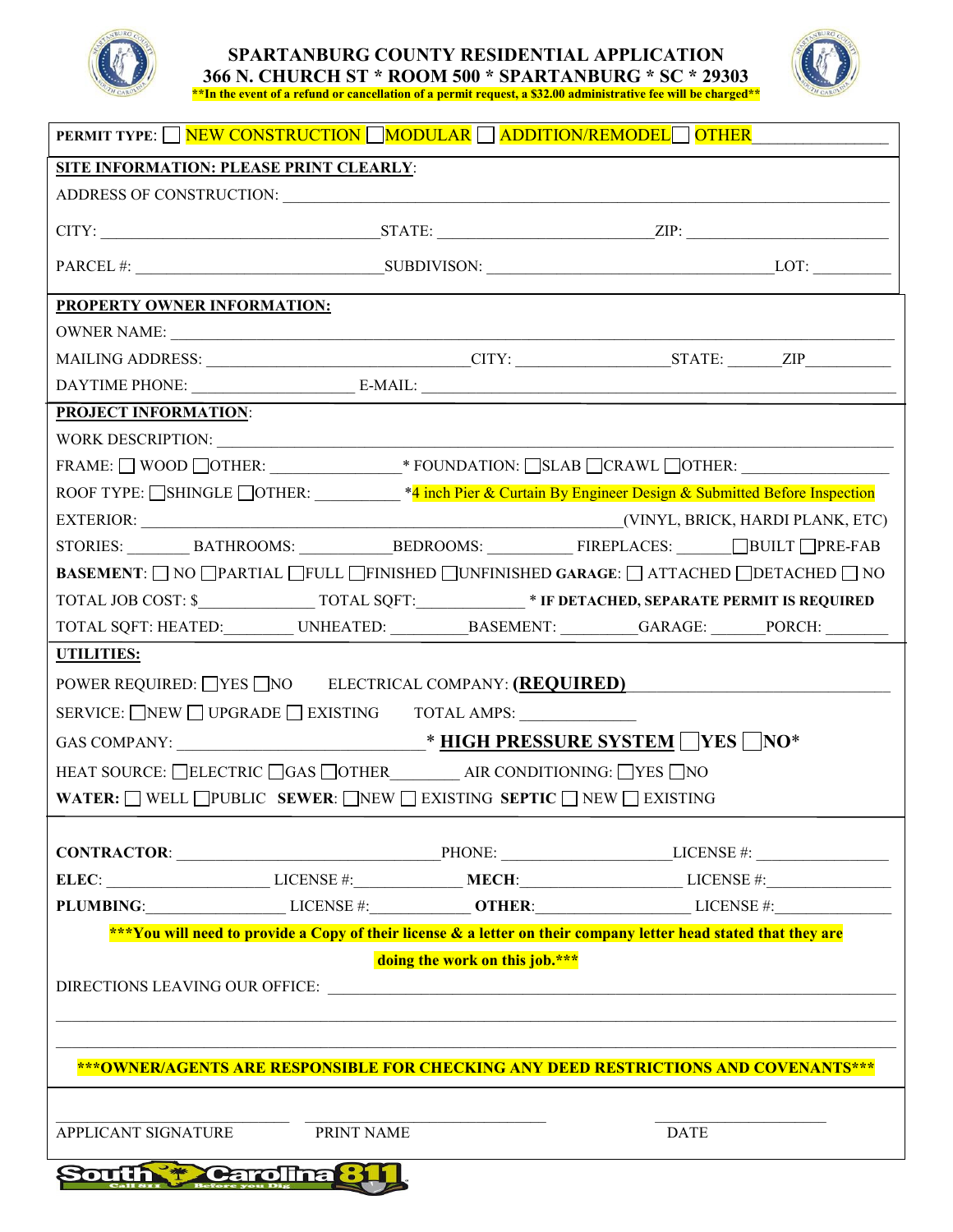

## **SPARTANBURG COUNTY RESIDENTIAL APPLICATION 366 N. CHURCH ST \* ROOM 500 \* SPARTANBURG \* SC \* 29303 \*\*In the event of a refund or cancellation of a permit request, a \$32.00 administrative fee will be charged\*\***



| <b>PERMIT TYPE:</b> NEW CONSTRUCTION MODULAR ADDITION/REMODEL OTHER                                                               |            |  |             |                                                                                                                                             |  |
|-----------------------------------------------------------------------------------------------------------------------------------|------------|--|-------------|---------------------------------------------------------------------------------------------------------------------------------------------|--|
| SITE INFORMATION: PLEASE PRINT CLEARLY:                                                                                           |            |  |             |                                                                                                                                             |  |
|                                                                                                                                   |            |  |             |                                                                                                                                             |  |
|                                                                                                                                   |            |  |             |                                                                                                                                             |  |
|                                                                                                                                   |            |  |             |                                                                                                                                             |  |
| <b>PROPERTY OWNER INFORMATION:</b>                                                                                                |            |  |             |                                                                                                                                             |  |
|                                                                                                                                   |            |  |             |                                                                                                                                             |  |
| MAILING ADDRESS: ________________________________CITY: __________________STATE: _______ZIP__________                              |            |  |             |                                                                                                                                             |  |
|                                                                                                                                   |            |  |             |                                                                                                                                             |  |
| <b>PROJECT INFORMATION:</b>                                                                                                       |            |  |             |                                                                                                                                             |  |
|                                                                                                                                   |            |  |             |                                                                                                                                             |  |
| FRAME: $\Box$ WOOD $\Box$ OTHER: $\_\_\_\_\_\_\$ FOUNDATION: $\Box$ SLAB $\Box$ CRAWL $\Box$ OTHER: $\_\_\_\_\_\_\_\_\_\_\_\_\_\$ |            |  |             |                                                                                                                                             |  |
| ROOF TYPE: SHINGLE OTHER: <sup>*4</sup> inch Pier & Curtain By Engineer Design & Submitted Before Inspection                      |            |  |             |                                                                                                                                             |  |
|                                                                                                                                   |            |  |             |                                                                                                                                             |  |
|                                                                                                                                   |            |  |             |                                                                                                                                             |  |
| <b>BASEMENT</b> : NO OPARTIAL OFULL FINISHED OUNFINISHED GARAGE: ATTACHED ODETACHED O NO                                          |            |  |             |                                                                                                                                             |  |
|                                                                                                                                   |            |  |             |                                                                                                                                             |  |
| TOTAL SQFT: HEATED:__________UNHEATED: __________BASEMENT: _________GARAGE: ______PORCH: ________                                 |            |  |             |                                                                                                                                             |  |
| <b>UTILITIES:</b>                                                                                                                 |            |  |             |                                                                                                                                             |  |
| POWER REQUIRED: VES NO ELECTRICAL COMPANY: (REQUIRED)                                                                             |            |  |             |                                                                                                                                             |  |
| SERVICE: NEW UPGRADE EXISTING TOTAL AMPS:                                                                                         |            |  |             |                                                                                                                                             |  |
|                                                                                                                                   |            |  |             |                                                                                                                                             |  |
| HEAT SOURCE: ELECTRIC GAS OTHER AIR CONDITIONING: YES NO                                                                          |            |  |             |                                                                                                                                             |  |
| <b>WATER:</b> WELL PUBLIC SEWER: NEW EXISTING SEPTIC NEW EXISTING                                                                 |            |  |             |                                                                                                                                             |  |
|                                                                                                                                   |            |  |             |                                                                                                                                             |  |
| $CONTRACTOR:$ $PHONE:$ $PRONE:$ $LICENSE #:$                                                                                      |            |  |             |                                                                                                                                             |  |
|                                                                                                                                   |            |  |             | ELEC: $\_\_\_\_\_\_\_\_\_\_\_\_\_\_\_\_\_\_\_\_\_\_\_\_\_\_\_\_$ LICENSE #: $\_\_\_\_\_\_\_\_\_\_\_\_\_\_\_\_\_\_\_\_\_\_\_\_\_$ LICENSE #: |  |
| PLUMBING: LICENSE #: LICENSE #: OTHER: LICENSE #: LICENSE #:                                                                      |            |  |             |                                                                                                                                             |  |
| ***You will need to provide a Copy of their license & a letter on their company letter head stated that they are                  |            |  |             |                                                                                                                                             |  |
| doing the work on this job.***                                                                                                    |            |  |             |                                                                                                                                             |  |
|                                                                                                                                   |            |  |             |                                                                                                                                             |  |
|                                                                                                                                   |            |  |             |                                                                                                                                             |  |
|                                                                                                                                   |            |  |             |                                                                                                                                             |  |
| ***OWNER/AGENTS ARE RESPONSIBLE FOR CHECKING ANY DEED RESTRICTIONS AND COVENANTS***                                               |            |  |             |                                                                                                                                             |  |
|                                                                                                                                   |            |  |             |                                                                                                                                             |  |
| APPLICANT SIGNATURE                                                                                                               | PRINT NAME |  | <b>DATE</b> |                                                                                                                                             |  |
|                                                                                                                                   |            |  |             |                                                                                                                                             |  |
| <b>South + Carolina 31</b>                                                                                                        |            |  |             |                                                                                                                                             |  |